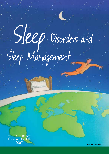# Sleep Disorders and

by Dr. Alex Barbey Illustrations by Helbé 2007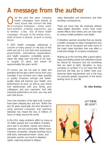# **A message from the author**

Over the past few years company<br>health campaigns have looked at<br>many issues that concern the daily<br>life of company employees —stress lower health campaigns have looked at many issues that concern the daily life of company employees —stress , lower back problems , smoking , ergonomics , just to mention a few . But all these health campaigns focused on the waking hours , while at home or abroad , at work or during leisure.

A 2007 health campaign addressed a concern of every person on the face of this earth and yet it is one that most businesses, governments, international organizations, and health programs completely ignore sleep! We sleep over one-third of our lives, or roughly 25 years, and dream for approximately five years worth.

Of course, you are not paid to sleep and probably will not get a direct bonus from your manager if you increase your sleep quantity or quality. However, enough and betterquality sleep will improve your health, your performance at work, as well as your mood and relationships with your family, your colleagues, and your supervisor. And with improved performance at work, you may well earn that bonus.

Since the invention of the light bulb, humans have been sleeping less and less. Within the last 20 years especially, the time devoted to using personal computers and watching television has meant the loss of millions of hours of sleep around the world.

In the USA, sleep problems affect as many as 70 million people and cost billions of dollars each year in accidents, injuries and medical expenses, and lost productivity. Within many overseas companies, irregular working hours, shift work, international travel , stress, and domestic worries can result in sleepless nights, exposing people to fatigue,

sleep deprivation and drowsiness and their resulting consequences.

There are more than 80 medically defined sleep-related disorders. Some have more severe effects than others and can even lead to serious health problems and death.

It therefore seemed essential that we devote a health campaign to sleep management and discuss how to recognize and treat some of the major sleep disorders that may affect a small percentage of company employees.

Waking up in the morning after a good night's sleep and feeling rested and refreshed should be natural for everyone and not something that we need to fight, discipline, or drug ourselves to achieve. It is my hope that this brochure will help you to better meet your personal sleep requirements and in the long run promote greater enjoyment of the future waking hours in your life.

**Dr. Alex Barbey**



LET THERE BE LIGHT !

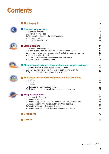# **Contents**

| 1 The sleep quiz                                                                                                                                                                                                                                                                                                                              | $\overline{2}$                            |
|-----------------------------------------------------------------------------------------------------------------------------------------------------------------------------------------------------------------------------------------------------------------------------------------------------------------------------------------------|-------------------------------------------|
| 2 How and why we sleep<br>1. Sleep requirements<br>2. A normal night's sleep<br>3. The circadian rhythm of the sleep/wake cycle<br>4. Sleep deprivation<br>5. Analyzing sleep disorders                                                                                                                                                       | 5<br>6<br>$\overline{7}$<br>8<br>11<br>12 |
| <b>3</b> Sleep disorders<br>1. Insomnia-not enough sleep<br>2. Sleep-related breathing disorders-obstructive sleep apnea<br>3. Hypersomnia (excessive sleepiness) not related to breathing disorders<br>4. Circadian rhythm sleep disorders<br>5. Parasomnias (abnormal events occurring during sleep)<br>6. Sleep-related movement disorders | 14<br>15<br>16<br>19<br>21<br>23<br>24    |
| 4 Sleepiness and driving—sleep-related motor vehicle accidents<br>1. Factors involved in sleep-related vehicle accidents<br>2. How sleepy or drowsy are you? Can you safely drive a vehicle?<br>3. When to suspect a sleep-related vehicle accident                                                                                           | 25<br>26<br>27<br>28                      |
| <b>5</b> Substances that influence sleepiness and total sleep time<br>1. Caffeine<br>2. Alcohol<br>3. Nicotine<br>4. Medications that increase sleepiness<br>5. Medications that increase alertness and reduce sleepiness                                                                                                                     | 29<br>29<br>29<br>29<br>30<br>31          |
| <b>6</b> Sleep management<br>1. Sleep advice for everyone<br>2. Treating insomnia<br>3. Treating sleep-related breathing disorders-obstructive sleep apnea<br>4. Treating hypersomnia not caused by breathing disorders<br>5. Treating circadian rhythm sleep disorders<br>6. Treating parasomnias and sleep-related movement disorders       | 32<br>33<br>37<br>38<br>39<br>40<br>42    |
| <b>7</b> Conclusions                                                                                                                                                                                                                                                                                                                          | 43                                        |
| 8 Glossary                                                                                                                                                                                                                                                                                                                                    | 45                                        |

 $\leftarrow \leftarrow$ 

**1**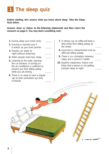# **1 The sleep quiz**

**Before starting, let's assess what you know about sleep. Take the Sleep Quiz below.**

**Answer «true» or «false» to the following statements and then check the answers on page 4. You may learn something new!**

- **1.** During sleep your brain rests.
- **2.** Snoring is harmful only if it wakes up your bed partner.
- **3.** People can sleep at night without dreaming.
- **4.** Older people need less sleep.
- **5.** Listening to the radio, opening the car window, or turning on the air conditioner is sufficient to prevent you from falling asleep while you are driving.
- **6.** There is no need to have a regular «go to bed» and«wake up» time schedule.
- **7.** A strong cup of coffee will keep a tired driver from falling asleep at the wheel.
- **8.** Insomnia is characterized only by difficulty falling asleep.
- **9.** There is no correlation between sleep and a person's health.
- **10.** Daytime sleepiness means one thing: that a person is not getting enough sleep at night.

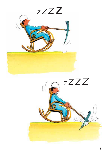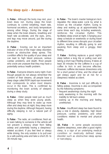#### **The sleep quiz – Answers**

**1. False** - Although the body may rest, your brain does not. During sleep the brain continues to control breathing, heart rate, hormonal secretions, and body temperature among other things. During the stage of sleep when the brain dreams, breathing and heart rate accelerate, and the eyes, arms, and legs may move around, just like during the daytime.

**2. False** - Snoring can be an important indicator of one of the major sleep disorders known as obstructive sleep apnea. This condition affects the quality of your sleep and can lead to high blood pressure, serious cardiac problems, and death. Most people who snore are unaware that they may have a potentially serious health problem.

**3. False** - Everyone dreams every night. Even though people do not always remember the content of their dreams, all people have a sleep stage called REM (rapid eye movement) that corresponds to when most dreams occur in the brain. This is confirmed by monitoring the brain activity of sleepers during a sleep study.

**4. False** - Older people need just as much sleep as when they were young adults. Although they may tend to wake up more often and sleep less at night, they sleep more during the daytime. Although frequent, having difficulty sleeping is not a natural part of aging.

**5. False** - The radio, air conditioner, fresh air, or even talking to someone in the vehicle will not prevent a drowsy driver from falling asleep and potentially having a sleepinessrelated accident. If you feel tired or sleepy while driving, the only solution is to pull over to a safe parking area and take a short 20- to 30-minute nap.

**6. False** - The brain's master biological clock regulates the sleep-wake cycle by what is known as the circadian rhythm. Going to sleep and waking up at approximately the same times each day, including weekends, reinforces the circadian rhythm. This facilitates sleep onset at night. Changing your sleep schedule on weekends or during travel to different time zones disrupts your circadian rhythm, resulting in difficulty going to and awaking from sleep and a groggy, tired feeling.

**7. False** - Nothing replaces a good night's sleep before a long trip or pulling over and taking a short nap if feeling drowsy. It takes at least 30 minutes for the caffeine in a cup of coffee to kick in and become effective. However, caffeine decreases drowsiness only for a short period of time, and the driver will get sleepy again and be at risk for a sleepiness-related accident.

**8. False** - Insomnia is not just difficulty in falling asleep. Insomnia is also accompanied by the following symptoms:

- frequent awakenings during the night
- early awakening in the morning with the inability to fall back asleep
- waking up in the morning and feeling unrefreshed.

**9. False** - Insufficient sleep has been found to play a role in obesity, diabetes, high blood pressure, cardiac problems, and other conditions related to mental and physical health.

**10. False** - In some people excessive daytime sleepiness, even after a good night's sleep, is a sign of an underlying medical condition or medically defined sleep disorder such as obstructive sleep apnea or narcolepsy.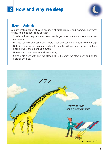## **2 How and why we sleep**



#### **Sleep in Animals**

A quiet, resting period of sleep occurs in all birds, reptiles, and mammals but varies greatly from one species to another.

- Smaller animals require more sleep than larger ones; predators sleep more than prey animals.
- Giraffes usually sleep less than 2 hours a day and can go for weeks without sleep.
- Dolphins continue to swim and surface to breathe with only one-half of their brain sleeping while the other half is awake.
- Horses and cows can sleep while standing.
- Some birds sleep with one eye closed while the other eye stays open and on the alert for enemies.

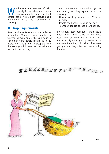We humans are creatures of habit,<br>normally falling asleep each day at<br>approximately the same time. Each normally falling asleep each day at approximately the same time. Each person has a typical body posture and a preferential place and conditions for sleeping.

#### **Sleep Requirements 1**

Sleep requirements vary from one individual to another. Whereas some adults can function normally on as little as 3 hours of sleep per night, others require up to 12 hours. With 7 to 8 hours of sleep per night the average adult feels well rested upon waking in the morning.

Sleep requirements vary with age. As children grow, they spend less time sleeping:

- Newborns sleep as much as 20 hours per day.
- Infants need about 16 hours per day.
- Teenagers require about 9 hours per day..

Most adults need between 7 and 9 hours each night. Older adults do not need less sleep, but they tend to go to sleep earlier at night and get up earlier in the morning than they did when they were younger and they often nap more during the day.

# 111122222222222222

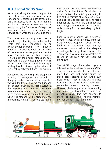#### **A Normal Night's Sleep 2**

As a normal night's sleep begins, the eyes close and sensory awareness of surroundings decreases. Body temperature falls and muscles relax. The heart rate and respiration become slower and more regular during the first stages of sleep, then more rapid during a dream stage, and slowing again when the dream stage ends.

The brain's activity during sleep can be recorded by attaching electrodes to the scalp that are connected to an electroencephalograph. The machine produces an electroencephalogram (EEG) of the electrical waves produced by the brain. The brain waves follow a regular cycle through the different stages of sleep, each with a characteristic pattern of brain waves on the EEG. A normal 8-hour night of sleep has 4 or 5 sleep cycles, with each cycle lasting between 80 and 100 minutes.

At bedtime, the oncoming initial sleep cycle is easy to recognize, announced by drooping eyelids, blurred vision, repeated yawning, trouble keeping the head up, and feeling tired. Successfully falling asleep at the beginning of a sleep cycle has often been compared to catching a train arriving at the station. You can hop on the train only when it is stopped at the platform. Once the train has left the station, it is too late to

catch it, and the next one will not enter the station for another 80 to 100 minutes. If a person "misses the train" by not going to bed at the beginning of a sleep cycle, he or she might as well get out of bed and read a book for the next hour and a half because they will typically only toss and turn in bed while waiting for the next sleep cycle to begin.

Each sleep cycle begins with a series of several stages, which progress from light sleep to deep, recuperative sleep and then back to a light sleep stage. No eye movement occurs behind the sleeper's closed eyelids during these stages of the sleep cycle, which are known collectively as NREM or non-REM for non–rapid eye movement.

The NREM stage of the sleep cycle is followed by the rapid eye movement (REM) stage of sleep, so called because the eyes move back and forth rapidly during this stage. Most dreams occur during REM sleep, which is also marked by a dramatic increase in the brain's electrical activity that resembles wakeful activity patterns. However, the brain prevents corresponding muscle movement by not releasing muscleactivating signals (the eyes continue to move because this neurotransmitter mechanism does not control them).



HOP ON THE SLEEP TRAIN…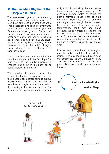#### **The Circadian Rhythm of the 3 Sleep-Wake Cycle**

The sleep-wake cycle is the alternating balance of sleep and wakefulness during a 24-hour day. Each person's sleep-wake cycle is influenced by numerous environmental stimuli or cues called zeitgebers (from the German for «time givers»). These cues include interactions with other people, one's daily routine and habits, mealtimes, noise levels, and exercise. But the sleepwake cycle is regulated primarily by the circadian rhythm of the body's biological clock, which in turn is influenced by exposure to light.

The word «circadian» comes from the Latin circa for «around» and dies for «day.» The term refers to the regular physiological changes that occur in the body on an approximately 24-hour cycle.

The master biological clock that coordinates the body's circadian rhythm is the pinhead-sized suprachiasmatic nucleus (SCN) cells, which are located in hypothalamus region of the brain, behind the crossing of the two optic nerves. The SCN uses the information about exposure

to light that is sent along the optic nerves from the eyes to regulate more than 100 circadian rhythm cycles by telling the body's hormone glands when to make hormones. Hormones act as chemical messengers sent through the bloodstream to control body functions, including temperature, heart rate and blood pressure, the pain threshold, and the one that we are interested in—the sleep-wake cycle. For example, the hormone melatonin is secreted at night by the pineal gland to promote sleepiness within the sleep-wake cycle.

It is the interaction of the circadian rhythm and the body's need for sleep, which is increased by any accumulated sleep debt, that determines the levels of sleepiness and alertness during daytime. The longer a person is awake, the stronger is the need for sleep.

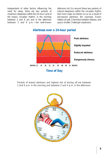Independent of other factors influencing the need for sleep, there are two periods of maximum sleepiness within the 24-hour cycle of the body's circadian rhythm: in the morning between 2 and 6 am and in the afternoon between 2 and 4 p.m.—the well-known afternoon lull. It is around these two periods of natural sleepiness within the circadian rhythm that most major accidents occur as a result of decreased alertness (for example, *Exxon Valdez* oil spill, Chernobyl radiation release, and space shuttle *Challenger* explosion).

**Alertness over a 24-hour period**



Periods of lowest alertness and highest risk of dozing off are between 2 and 6 a.m. in the morning and between 2 and 4 p.m. in the afternoon.

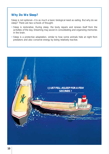#### **Why Do We Sleep?**

Sleep is not optional—it is as much a basic biological need as eating. But why do we sleep? There are two schools of thought:

- Sleep is restorative. During sleep, the body repairs and renews itself from the activities of the day. Dreaming may assist in consolidating and organizing memories in the brain.
- Sleep is a protective adaptation, similar to how some animals hide at night from predators and also conserve energy by being relatively inactive.

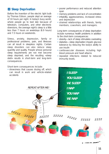#### **Sleep Deprivation 4**

Before the invention of the electric light bulb by Thomas Edison, people slept an average of 10 hours per night. In today's busy world, where people go to bed late because of television, computers, and other electronic diversions, the average night's sleep is a little less than 7 hours on weekdays (6.9 hours) and 7.5 hours on weekends.

Stress, anxiety, depression, family or professional problems, pain, and illnesses can all result in sleepless nights. Certain sleep disorders can also reduce sleep quantity and quality. People whose personal sleep requirements are not met become sleep deprived, and the resulting «sleep debt» results in short-term and long-term consequences.

Short-term consequences include:

• drowsiness that causes dozing off, which can result in work and vehicle-related accidents

- poorer performance and reduced attention span
- memory problems and lack of concentration
- irritability, aggressiveness, increased stress and depression
- strained relationships with friends, family members, coworkers, and managers.

Long-term consequences of sleep deprivation include numerous health problems in addition to the short-term consequences:

- obesity—lack of sleep stimulates overeating
- diabetes—sleep deprivation impairs glucose tolerance by reducing the body's ability to use insulin
- cardiovascular diseases including high blood pressure and heart attacks
- repeated infections related to reduced immunity levels.

REPEAT AFTER ME! <sup>z</sup> <sup>z</sup> <sup>z</sup> <sup>z</sup> <sup>z</sup> <sup>z</sup> <sup>z</sup> <sup>z</sup> <sup>z</sup> <sup>z</sup> <sup>z</sup> <sup>z</sup> <sup>z</sup> <sup>z</sup> <sup>z</sup> <sup>z</sup> <sup>z</sup> <sup>z</sup> <sup>z</sup> <sup>z</sup> <sup>z</sup> <sup>z</sup> <sup>z</sup> <sup>z</sup> <sup>z</sup> <sup>z</sup> <sup>z</sup> <sup>z</sup> <sup>z</sup> <sup>z</sup> z z z z **I SLEEP YOU SLEEP WE SLEEP I NAP YOU NAP WE NAP**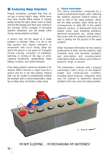#### **Analyzing Sleep Disorders 5**

People sometimes complain that they do not get a normal night's sleep. While some may have trouble falling asleep or staying asleep during the night, others seem to sleep well but feel groggy and tired upon waking in the morning. Some complain of excessive daytime sleepiness and fall asleep often during normal daytime activities.

A person may not be aware of a sleep problem or disorder. Often, it is his or her bed partner who reports behaviors or movements that occur during sleep but which the person is not aware of. Examples include snoring, cessation of breathing, twitching or kicking of the legs or arms, chewing movements, sleepwalking, sleep talking, screams, and violent behavior.

If the sleep problem cannot be resolved or its adverse effects become a major issue for a person and his or her bed partner, medical help can be sought to progressively analyze the problem with a clinical examination, sleep log or sleep diary, and finally a sleep study.

#### **a – Clinical examination**

The clinical examination conducted by a medical professional begins with collecting the patient's personal medical history as well as that of the sleep problem. When did the sleep problem start? What are its consequences on daily life? Is the patient stressed, anxious, or depressed? Does the patient snore, have breathing problems, abnormal movements, etc., during sleep? Discussion with the patient's bed partner is vital in getting the full picture of the sleep problem.

Other important information for the medical professional to learn are the patient's daily schedule, work and domestic problems, and prescription and nonprescription medications taken as well as use of tobacco products, drugs, or alcohol.

The examination continues with a physical examination, with a focus on the patient's weight and cardiovascular condition, including blood pressure. Diagnostic tests may be ordered to determine physical problems that may cause the sleep problem.



I'M NOT SLEEPING… I'M RECHARGING MY BATTERIES!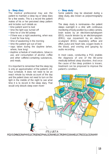#### **b – Sleep diary**

The medical professional may ask the patient to maintain a sleep log or sleep diary for a few weeks. This is a record the patient makes of his or her perceived sleep pattern and includes such details as:

- time patient went to bed
- time the light was turned off
- time he or she fell asleep
- if there was a night awakening, when was it and for how long
- time of awakening in the morning
- time the patient got out of bed
- naps taken during the daytime (when, where, how long)
- daytime schedule of medications, tobacco use, and consumption of alcohol, coffee and other caffeine-containing substances, and meals.

It is important to remember that the sleep log is only an approximation of the patient's 24 hour schedule. It does not need to be an exact minute by minute account of the day and the patient does not need to turn on the light in the middle of the night to see what time it is to record in the sleep diary. That would only disturb sleep even more!

#### **c – Sleep study**

Some patients may be observed during a sleep study, also known as polysomnography (PSG).

The sleep study is noninvasive—the patient sleeps overnight in a clinic with continuous monitoring of body position by a video camera, brain waves by an electroencephalogram (EEG), muscle tension by an electromyogram (EMG), eye movement by an electrooculogram (EOG), respiratory airflow and effort, pulse and heart rate, oxygen levels in the blood, and snoring and gasping by audio recording.

In most cases, conducting a PSG enables the diagnosis of one of the 80-some medically defined sleep disorders. And once the cause of the sleep problem is known, treatment can be proposed to improve the patient's condition.

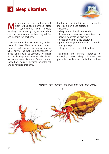**3 Sleep disorders**



**M** lilions of people toss and turn each<br>is synonymous with anxiety, night in their beds. For them, sleep is synonymous with anxiety, watching the hours go by on the alarm clock and worrying about how they will feel and perform the next day.

There are more than 80 medically defined sleep disorders. They can all contribute to impaired performance, accidents at work or while driving, as well as disturbances of mood and social adjustment. Marriages and relationships may be adversely affected by certain sleep disorders. Some can also exacerbate serious medical, neurological, and psychiatric problems.

For the sake of simplicity we will look at the most common sleep disorders:

- insomnia
- sleep-related breathing disorders
- hypersomnias (excessive sleepiness) not related to breathing disorders
- circadian rhythm sleep disorders
- parasomnias (abnormal events occurring during sleep)
- sleep-related movement disorders.

Treatments and lifestyle strategies for managing these sleep disorders are presented in a later section in this brochure.

#### I CAN'T SLEEP ! I KEEP HEARING THE SEA! TOO NOISY!

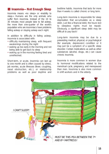#### **Insomnia—Not Enough Sleep 1**

Insomnia means «no sleep» or «inability to sleep.» Humans are the only animals who suffer from insomnia. Instead of the 10 to 30 minutes most people take to fall asleep, the more than one-quarter of the world's population who are insomniacs have problems falling asleep or staying asleep each night.

In addition to difficulty in falling asleep, insomnia is associated with:

- difficulty maintaining sleep, with frequent awakenings during the night
- waking up too early in the morning and not being able to get back to sleep
- waking up in the morning feeling tired and unrefreshed.

Short-term, or acute, insomnia can last up to one month and is often caused by stress, job worries, acute illnesses (fever, coughing, nasal obstruction, etc.), or relationship problems as well as poor daytime and bedtime habits. Insomnia that lasts for more than 4 weeks is called chronic or long term.

Long-term insomnia is responsible for sleep deprivation that accumulates as a sleep debt. Just like a financial debt, the hours lost to sleepless nights must be repaid. Obviously, a significant sleep debt may be difficult to pay back!

Long-term insomnia may be due to a preexisting medical, physical, or psychological (for example, depression) condition or it mav iust be a symptom of a specific sleep disorder. Certain medications as well as other substances (alcohol, drugs, etc.) can cause chronic insomnia.

Insomnia is more common in women (due to hormonal modifications related to the menstrual cycle, pregnancy, and menopause) than men. Insomnia is also more common in shift workers and in the elderly.

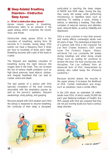#### **Sleep-Related Breathing 2Disorders—Obstructive Sleep Apnea**

#### **a – What is obstructive sleep apnea?**

Apnea means pauses in breathing. Obstructive refers to an obstacle in the upper airway, which comprises the mouth, nose, and throat.

Obstructive sleep apnea (OSA) is the cessation of breathing, lasting from 30 seconds to 3 minutes, during sleep. OSA events can have a frequency from 5 times per hour to hundreds of times each night. Breathing resumes with a jerk of the body or a gasp.

The frequent and repetitive cessation of breathing during the night reduces the oxygen level in the brain. This can increase the risk of serious health problems such as high blood pressure, heart attacks, strokes, and irregular heartbeat that can lead to cardiac arrest and death.

The bed partner of a person with OSA typically complains of the loud snoring associated with the respiratory pauses as well as the person's agitation, frequent awakenings, body jerking, and gasping.

Because people with OSA awaken each time the airway is reopened to resume breathing, the continuity of their sleep is disrupted, particularly in reaching the deep stages of NREM and REM sleep. During the day, they easily fall asleep while performing monotonous or repetitive tasks such as watching TV, reading a book, driving a vehicle, or attending a meeting. They often complain of reduced memory and attention span, reduced libido, as well as irritability and depression.

OSA is more common in men than women and mainly affects overweight adults over 40 years of age. The stereotypical depiction of a person with OSA is the character Fat Joe from Charles Dickens's 1837 serial novel *The Pickwick Papers.* Obese, red-faced Fat Joe constantly fell asleep during meetings and when doing simple things such as waiting for someone to answer the door. His loud snoring was very disruptive. Fat Joe suffered from an advanced form of OSA characterized by obesity, also called today the «Pickwick syndrome.»

Because alcohol relaxes the muscles in the upper airway, it increases the likelihood of OSA. Certain medications and drugs, such as sedatives, have a similar effect.

In the USA alone, an estimated 18 million adults have OSA, of which nearly 50,000 die each year (National Institutes of Health). But 95% people with OSA are unaware that they are not just snoring loudly but have a serious sleep disorder.



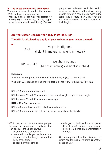#### **b – The causes of obstructive sleep apnea**

The upper airway obstruction that causes OSA can have numerous origins:

• Obesity is one of the major risk factors for having OSA. The tissues in the upper airway (nose, mouth, and throat) of obese

people are infiltrated with fat, which reduces the diameter of the airway. Many people with OSA have a body mass index (BMI) that is more than 20% over the BMI that represents a normal weight for their height.

**Are You Obese? Measure Your Body Mass Index (BMI) The BMI is calculated as a ratio of your weight to your height squared: or: Examples** Weight of 70 kilograms and height of 1.75 meters =  $(70)/(1.75^2)$  = 22.9 Weight of 225 pounds and height of 5 feet 9 inches =  $(704.5)[(225)/69^2] = 33.3$ BMI < 18 = You are underweight. BMI between 20 and 25 = You are in the normal weight range for your height. BMI between 25 and 30 = You are overweight. **BMI > 30 = You are obese.** BMI > 40 = You have what is called «morbid» obesity. BMI > 50 = You are in the category of «super or malignant» obesity. weight in pounds  $BMI = 704.5$  (height in inches) x (height in inches) weight in kiligrams  $BMI = \frac{3}{\text{(height in meters)} \times \text{(height in meters)}}$ 

- OSA can occur in nonobese people because of anatomical conditions that can obstruct the upper airway:
	- enlarged tonsils or adenoids
	- deformed or enlarged uvula (the little piece of flesh that hangs down at the back of the throat)
	- enlarged or thick tongue
- enlarged or thick neck (collar size of 17 inches [43 centimeters] or greater in men, 16 inches [40 centimeters] in women).
- Gastroesophageal reflux disease, for which heartburn is a symptom, is another cause of OSA.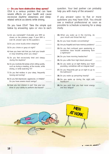#### **c – Do you have obstructive sleep apnea?**

OSA is a serious problem that can have severe effects on your health and cause excessive daytime sleepiness and sleeprelated vehicle accidents while driving.

Do you have OSA? Take the simple quiz below by answering «yes» or «no» to each

- **1.** Are you overweight? (Calculate your BMI as shown on the previous page. If your BMI is over 30, answer «yes» to this question.)
- **2.** Do you snore loudly when sleeping?
- **3.** Do you choke or gasp at night?
- **4.** Have you been told that you hold your breath or stop breathing when you sleep?
- **5.** Do you feel excessively tired and sleepy during the daytime?
- **6.** Do you routinely fall asleep when sitting quietly, such as during a meeting, at the movies, while driving, or while watching TV?
- **7.** Do you feel restless in your sleep, frequently tossing and turning?
- **8.** Do you feel depressed, aggressive, or irritable? Do you have severe mood swings?
- **9.** Have you lost interest in sex? Has your sex drive or your ability to perform decreased?

question. Your bed partner can probably help you with many of the answers!

If you answer «yes» to five or more questions you may have OSA. You should see a medical professional as soon as possible to schedule screening for a sleep study.

- **10.** When you wake up in the morning, do your mouth and throat feel dry? **11.** Do you have trouble concentrating? **12.** Are you forgetful and have memory problems? **13.** Do you feel confused upon awakening or sometimes have trouble awakening from a nightmare? **14.** Do you have morning headaches?
- **15.** Do you suffer from high blood pressure?
- **16.** Do you wake up at night feeling your heart pounding, sometimes with an irregular beat?
- **17.** Do you frequently get up at night to go to the bathroom?
- **18.** Do you wake up perspiring heavily?
- **19.** Do you wake up during the night with heartburn?
- **20.** Do you wish that you had more energy and less fatigue?

**MEN AT WORK**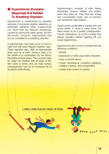#### **Hypersomnia (Excessive 3 Sleepiness) Not Related To Breathing Disorders**

Hypersomnia is characterized by repeated episodes of excessive daytime sleepiness or prolonged nighttime sleep. Hypersomnia can result from the frequent awakenings caused by obstructive sleep apnea, but this discussion concerns hypersomnia that occurs unrelated to a breathing disorder.

A hypersomniac may sleep up to 12 hours a night and still need frequent daytime naps. These repeated naps, often at inappropriate times such as at work, during a meal, or in the middle of a conversation, do not reduce the feeling of drowsiness. The constant need for sleep can interfere with all areas of life, from work to home, and can have serious consequences, such as an increased risk of accidents while driving.

Hypersomniacs complain of often feeling disoriented, anxious, irritable, and restless when they wake up. They have low energy and concentration levels, loss of memory, and sometimes hallucinations.

Hypersomnia usually affects adolescents and young adults. A cause is rarely found, but there seems to be a genetic predisposition. Certain medications, or on the contrary their abrupt cessation without tapering off, can cause hypersomnia.

Hypersomnia also occurs in people with the following conditions:

- obesity
- depression or other psychiatric disorders
- drug or alcohol abuse
- certain neurological conditions (epilepsy, multiple sclerosis, and encephalitis)
- certain brain tumors or injuries.

JOHNI JOHNI PLEASE WAKE UP NOWL

 $1222222$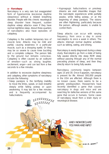#### **a – Narcolepsy**

Narcolepsy is a very rare but exaggerated form of hypersomnia (excessive daytime sleepiness) without a related breathing disorder. People with this chronic neurological sleep disorder have frequent, sudden daytime «sleep attacks» even if they have normal nighttime sleep. About three-quarters of narcoleptics also have episodes of cataplexy.

Cataplexy is the sudden temporary loss of muscle tone. Attacks may be mild and partial, causing weakness in a particular muscle, such as a drooping eyelid. Or they may be so severe to cause knee buckling and a complete collapse. The person falls to the ground but remains conscious. Cataplexy is often caused by an outburst of emotion—such as strong laughter, excitement, anger—and can last from a few seconds to a few minutes.

In addition to excessive daytime sleepiness and cataplexy, other symptoms of narcolepsy include the following:

• Sleep paralysis is the terrifying inability to move the limbs, speak, or even breathe deeply while falling asleep or upon awakening. It may last for a few minutes and is frequently accompanied by hallucinations.

• Hypnagogic hallucinations or presleep dreams are vivid dreamlike images that the narcoleptic experiences while partially awake, while falling asleep, or at the beginning of sleep paralysis. The visions are often frightening, particularly because the person, although awake, is unable to control them.

Sleep attacks can occur with varying frequency, from once a day in some narcoleptics to once a week in others. The attacks interrupt normal daytime activities such as talking, eating, and driving.

Narcolepsy is easily diagnosed during a sleep study. Narcoleptics go from a state of being fully awake directly into deep REM sleep without passing through any of the normal preceding phases of sleep, and then they directly return to being fully awake.

Narcolepsy commonly begins between ages 15 and 30. Once it appears, narcolepsy is present for life. Almost 300,000 people in the USA are affected. Although there is no known cause, there seems to be a genetic predisposition. Researchers have recently identified a gene that causes narcolepsy in dogs and mice and are searching for defective versions of this same gene that occurs in humans. Some cases of narcolepsy result from a brain injury or

**20**  $2^{72ZZZ}$ <br>neurological disease. zzzzzz AND I NOW DECLARE YOU MAN AND WIFF!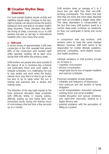#### **Circadian Rhythm Sleep 4Disorders**

For most people daytime equals activity and nighttime equals sleep. Changes to this daynight schedule can desynchronize the body's biological clock and lead to circadian rhythm sleep disorders. These disorders that affect the timing of sleep commonly occur in shift workers but also as «jet lag» in international travelers who cross many time zones.

#### **a – Shift work**

A recent survey of approximately 1,000 train conductors in the USA revealed that almost 60% of the conductors who worked night shifts reported nodding off at least once during their shift within the previous week.

Shift workers are people who work outside of the typical «9 to 5» business-day schedule and particularly those who work nights or irregular schedules. It is challenging not only to stay awake and work when the body's natural clock says that it is time to go to bed but also to go to sleep when the sun is shining and everyone else is awake and making noise.

The distortion of the day-night signals to the brain produces disrupted sleep schedules with difficulty falling or staying asleep, difficulty waking up and being alert, and involuntary bouts during the waking hours of «microsleep» that last from a few seconds up to a minute.

Shift workers sleep an average of 1 to 2 hours less per night than their non-shiftworking counterparts. This means that over time they are more and more sleep deprived and have accumulated a bigger sleep debt. The sleep deprivation is compounded by the fact that many shift workers revert to a normal sleep-wake schedule on weekends so they can participate in family and social events.

In comparison with day workers, shift workers seem to have the same average lifespan. However, shift work seems to be responsible for certain lifestyle variations, personal complaints, work-related issues, and health problems.

Lifestyle variations in shift workers include an increase in:

- cigarette consumption
- alcohol consumption
- weight gain due to loss of regular mealtime and exercise schedules.

Personal complaints include greater:

- irritability and frequency of depression
- time pressure and the burden of family obligation
- social marginalization (mismatch between working hours and social activities)
- marital disruption and spouse loneliness and night-time insecurity, leading to a higher divorce rate
- parental problems with the perception of failing as a parent.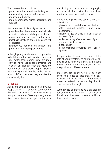Work-related issues include:

- poor concentration and mental fatigue
- errors leading to poor performance
- reduced productivity
- more near misses, injuries, accidents, and fatalities.

Health problems include higher rates of :

- gastrointestinal disorders—abdominal pain, alterations in bowel habits, peptic ulcers
- coronary heart disease and heart attacks
- metabolic variations and an increased risk of diabetes
- spontaneous abortion, miscarriage, and premature birth in pregnant women.

Although young adults seem to cope better with shift work than older workers, and men cope better than women (who are more likely to have additional domestic and childcare obligations), over the years the body never completely adapts. Staying awake all night and sleeping during the day remain difficult because they counter the circadian rhythm.

#### **b – Jet lag**

At any one time of the day, at least 500,000 people are flying in airplanes someplace in the world and many of them are crossing multiple time zones. Traveling rapidly across time zones disrupts the synchronization of the biological clock and accompanying circadian rhythms with the local time, producing some awkward sensations.

Symptoms of jet lag may last for a few days:

- irritability
- physical and mental daytime tiredness, with impaired alertness and lower performance
- inability to get to sleep at night after an eastward flight
- early awakening after a westward flight
- disturbed nighttime sleep
- disorientation
- gastrointestinal problems and loss of appetite.

People adjust to new time zones at the rate of approximately one hour per day, but not all body functions adjust at the same speed. Body temperature, digestion, and sleep adjust at different speeds.

Most travelers report worse jet lag when flying from west to east than from east to west. This is because the body finds it easier to extend the natural day than to shorten the natural night.

Although jet lag may not be a big problem for someone on vacation, it can seriously impair the business traveler's ability to function effectively.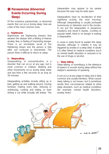#### **Parasomnias (Abnormal 5Events Occurring During Sleep)**

Of the numerous parasomnias, or abnormal events that can occur during sleep, here are a few of the most common ones.

#### **a – Nightmares**

Nightmares are frightening dreams that awaken the sleeper with a feeling of intense anxiety, fear, or feeling of impending danger. There is an immediate recall of the frightening dream and the person is fully alert, not confused or disoriented. The person finds it difficult to return to sleep.

#### **b – Sleepwalking**

Sleepwalking, or somnambulism, is a disorder that can occur at any age, but is more common in children. Walking and other movements occur during deep sleep and last from a few seconds to as long as 30 minutes.

Sleepwalking activities include sitting up in bed, getting up and walking around, moving furniture, making one's bed, dressing or undressing, cooking and eating, or even driving a car while actually still asleep. The sleepwalker may appear to be awake because the eyes may be wide open.

Sleepwalkers have no recollection of their nighttime activity the next morning. Although sleepwalking is usually portrayed humorously on television and in the movies, it can put the sleepwalker in dangerous situations and result in injuries. Contrary to popular belief, there is no danger in waking a sleepwalker.

A cause is rarely found to explain this sleep disorder, although in children it may be triggered by anxiety or a sleep debt. In adults it is often linked to medical conditions (such as mental health disorders or seizures) or to the use of drugs or alcohol.

#### **c – Sleep talking**

Sleep talking, or somniloquy, is the utterance of speech or sounds during sleep without the sleeper's awareness of speaking.

It can occur at any stage of sleep and is fairly common and usually harmless. What causes sleep talking is not known, but it sometimes results from circumstances related to other sleep disorders, such as medical conditions (for example, mental health disorders, anxiety, fever).

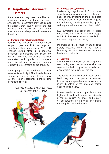#### **Sleep-Related Movement 6 Disorders**

Some sleepers may have repetitive and abnormal movements during the night. Although the movements may not awaken the sleeper, they usually disturb the bed partner's sleep. Below are some of the most common sleep-related movement disorders.

#### **a – Periodic limb movement disorder**

Periodic limb movement disorder causes people to jerk and kick their legs and sometimes their arms every 20 to 40 seconds during sleep in a repetitive movement of tightening and flexing the muscles. The limb movements are often associated with partial or complete awakening, although the sleeper is unaware of either the movements or the arousals.

Some people have hundreds of these movements each night. This disorder is more common with age: up to one-third of people 60 and older experience periodic limb movement disorder.

> ALL NIGHT LONG I KEEP GETTING KICKED BY THESE FINS!

#### **b – Restless legs syndrome**

Restless legs syndrome (RLS) produces sensations of creeping, crawling, aches and pains, pulling, or tingling in one or both legs and feet along with an irresistible urge to move them by stretching or getting up and walking around to obtain short-term relief.

RLS symptoms that occur prior to sleep onset make it difficult to fall asleep. People with RLS often also experience periodic limb movement, especially of the legs.

Diagnosis of RLS is based on the patient's history because there is no specific laboratory test for it. Restless leg syndrome tends to run in families.

#### **c – Bruxism**

Sleep bruxism is grinding or clenching of the teeth during sleep that may cause abnormal wear of the teeth, unpleasant sounds, and discomfort in the muscles of the jaw.

The frequency of bruxism and impact on the teeth vary from one person to another. Intense nightly episodes can cause dental injury, disorders of the jaw, and painful chewing when eating.

Bruxism tends to occur in people who are highly motivated and competitive; similarly, it can be caused by stress and anxiety or exacerbated by smoking or caffeine consumption close to bedtime.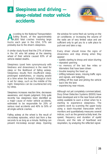#### **Sleepiness and driving sleep-related motor vehicle accidents 4**



Cording to the National Transportation<br>
4,800 fatal crashes involving large<br>
trucks are the state in the USA 57% Safety Board, of the approximately trucks each year in the USA, 57% are probably due to the driver's sleepiness.

A similar study found that the 27% of drivers in the UK who fell asleep at the steering wheel of their vehicle caused 83% of all vehicle-related deaths.

Sleepiness (used here synonymously with tiredness and drowsiness) is the need for sleep or the likelihood of falling asleep. Sleepiness results from insufficient sleep, prolonged wakefulness, or staying awake at a time when the body's biological clock is set for sleep, such as the middle of the night. Sleepiness can be counteracted only by sleep.

Sleepiness increases reaction time, decreases awareness, and impairs judgment. Only quite recently has sleepiness been identified as a major cause of motor vehicle accidents, estimated to be responsible for 20% of serious road accidents and 40% to 50% of all single-vehicle crashes.

Falling asleep at the wheel is the result of microsleep episodes, which last from a few seconds to as long as a minute. Nothing can prevent microsleep except sleep. Opening the window for some fresh air, turning on the air conditioner, or increasing the volume of the radio are of very limited value and are sufficient only to get you to a safe place to pull over and take a nap.

Every driver should know the signs of drowsiness and stop driving when they appear:

- eyelids starting to droop and vision blurring
- repeated yawning
- no memory of the last few miles or kilometers that have been driven
- trouble keeping the head up
- drifting between lanes, missing traffic signs and signals, and tailgating
- drifting off the road and jerking the vehicle back into the lane
- experiencing near misses.

Although not yet completely commercialized, Dozy Driver Detection Systems (DDDS) have been developed and in the near future will be widely available to warn a driver when he is starting to experience sleepiness. The systems work by scanning the upper body using a dash–mounted transceiver which monitors and quantitatively measures several indices, such as the general activity level, the speed, frequency and duration of eyelid closure, and the rate of heartbeat and respiration, by analyzing the reflected signal.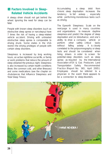#### **Factors Involved in Sleep-1Related Vehicle Accidents**

A sleepy driver should not get behind the wheel. Ignoring the need for sleep can be fatal.

People with known sleep disorders (such as obstructive sleep apnea or narcolepsy) have 7 times the risk of having a sleep-related vehicle accident. Driving with untreated obstructive sleep apnea is comparable to driving drunk. Some states in the USA restrict the driving privileges of people with certain sleep disorders.

Sleepiness is increased by long working hours, an active nighttime social life, or family or work problems that reduce the amount of sleep obtained the previous night. Sleepiness is also increased by certain health conditions (fever, the common cold, and other illnesses) and some medications (see the chapter on «Substances that Influence Sleepiness and Total Sleep Time»).

Accumulating a sleep debt from chronic sleep deprivation increases the tendency to fall asleep , especially while performing monotonous tasks such as driving.

The Epworth Sleepiness Scale on the next page is used in many countries and organizations to measure daytime sleepiness and predict the degree of sleep deprivation and /or disturbance , and one's ability to drive a company vehicle or perform other safety critical tasks without falling asleep . It is closely correlated to the polysomnography or sleep tests and should be considered when hiring drivers in order to screen for potential sleep disorders such as sleep apnea as required by the International Association of Oil & Gas Producers *Land Transportation Safety Recommended Practice* (Report No. 365, April 2005 ). Employees should be referred to a physician in the event there appears to be a connection to sleep disorders.

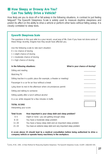#### **How Sleepy or Drowsy Are You? 2 Can You Safely Drive a Vehicle?**

How likely are you to doze off or fall asleep in the following situations, in contrast to just feeling fatigued? The Epworth Sleepiness Scale is widely used to measure daytime sleepiness and predict its affect on the ability to drive a vehicle or perform other tasks without falling asleep. It is closely correlated to sleep tests.

#### **Epworth Sleepiness Scale**

The questions in this quiz refer to a your recent, usual way of life. Even if you have not done some of these things recently, imagine how they would have affected you.

Use the following scale to rate each situation:

- $0 =$  no chance of dozing
- $1 =$  slight chance of dozing
- 2 = moderate chance of dozing
- 3 = high chance of dozing

| In the following situations:                                                                                                                                                                                                                                             | What is your chance of dozing? |
|--------------------------------------------------------------------------------------------------------------------------------------------------------------------------------------------------------------------------------------------------------------------------|--------------------------------|
| Sitting and reading                                                                                                                                                                                                                                                      |                                |
|                                                                                                                                                                                                                                                                          |                                |
| Sitting inactive in a public place (for example, a theater or meeting)                                                                                                                                                                                                   |                                |
| Passenger in a car for an hour without a break                                                                                                                                                                                                                           |                                |
| Lying down to rest in the afternoon when circumstances permit                                                                                                                                                                                                            |                                |
| Sitting and talking to someone                                                                                                                                                                                                                                           |                                |
| Sitting quietly after a lunch without alcohol                                                                                                                                                                                                                            |                                |
| In a car, while stopped for a few minutes in traffic                                                                                                                                                                                                                     |                                |
| Interpreting your score                                                                                                                                                                                                                                                  |                                |
| How important is your sleep debt and sleep problem?<br>Slight or none-you are getting enough sleep<br>You have a moderate sleep problem<br>You have a heavy sleep debt and an important sleep problem<br>You have an extreme sleep debt and very important sleep problem |                                |
|                                                                                                                                                                                                                                                                          |                                |

**A score above 15 should lead to a medical consultation before being authorized to drive a company vehicle or operate heavy machinery in the workplace.**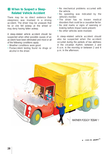#### **When to Suspect a Sleep-3Related Vehicle Accident**

There may be no direct evidence that sleepiness was involved in a driving accident. The driver may be unaware that he or she fell asleep at the wheel or may deny having fallen asleep.

A sleep-related vehicle accident should be suspected when other possible causes of an accident have been eliminated and most or all of the following conditions apply:

- Weather conditions were good.
- Postaccident testing found no drugs or alcohol in the driver.
- No mechanical problems occurred with the vehicle.
- No speeding was indicated by the vehicle's monitor.
- The driver has no known medical disorders that could be a causative factor.
- No skid marks or signs of swerving or braking before impact were present.
- No other vehicles were involved

A sleep-related vehicle accident should also be suspected when the accident occurred during the periods of low alertness in the circadian rhythm: between 2 and 6 a.m. in the morning or between 2 and 4 p.m. in the afternoon.

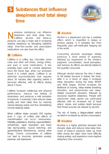#### **Substances that influence sleepiness and total sleep time 5**



Mumerous substances can influence<br>sleepiness and total sleep time.<br>Caffeine, alcohol, and tobacco sleepiness and total sleep time. Caffeine, alcohol, and tobacco products can play a major role in increasing daytime sleepiness by disrupting nighttime sleep. Over-the-counter and prescription medications can also have this effect.

#### **Caffeine 1**

Caffeine is in coffee, tea, chocolate, some colas and other soft drinks, energy drinks, and even in some medications. It has probably been used to combat sleepiness since the Stone Age, when our ancestors found it in certain plants. Caffeine is an addictive psychostimulant that requires about 30 minutes after ingesting before it becomes effective, with its effects lasting about 5 hours.

Caffeine increases intellectual and physical performance, reduces the feeling of drowsiness, and produces a mild sensation of euphoria. Conversely, it also reduces sleep quality and total sleep time by masking natural sleeping needs and thus destabilizing normal sleeping habits.

When caffeine intake exceeds 250 mg/day (over 5 cups of coffee) side effects of overstimulation can occur: nervousness, irritability, palpitations, flushing, hyperventilation, arrhythmias, rapid respiration and heart rate (tachycardia), muscle twitching, and gastrointestinal disturbances, among other things. Chronic consumption of caffeine can lead to insomnia, persistent anxiety, paranoia, and depression.

#### **Alcohol 2**

Alcohol is a depressant and has a sedative effect, which is magnified in sleepy or anxious people. It is probably the most frequently used self-medicated sleeping aid in the world.

Consuming alcoholic beverages initially produces a short period of euphoria, followed by impairment of the drinker's judgment, concentration, visual perception, and memory. Its effects are directly related to the quantity consumed.

Although alcohol reduces the time it takes to fall asleep because it relaxes the brain, after 3 or 4 hours of sleep it increases sleep disruption during the deep NREM and REM stages. Alcohol increases the likelihood of snoring, sleep-related breathing disorders, and parasomnias and sleeprelated movement disorders, followed by excessive daytime sleepiness. People with obstructive sleep apnea are particularly effected, with an increased risk of heart attack, stroke, and sudden death because their throat muscles are relaxed by alcohol.

The risk of having a fatigue-related vehicle accident is increased by alcohol consumption.

#### **Nicotine 3**

Nicotine is a highly addictive stimulant that disrupts sleep and reduces total sleep time. Users of tobacco products wake up more often during the night, have more difficulty staying asleep, and experience more daytime sleepiness than nonusers.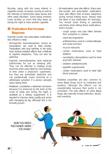Nicotine, along with the many irritants in cigarette smoke, increases snoring as well as the intensity of obstructive sleep apnea and other sleep disorders. Some heavy smokers crave nicotine so much that they wake up during the night to have another cigarette.

#### **Medications that Increase 4Sleepiness**

Over-the-counter and prescription medications also influence sleep:

- Nonhypnotic benzodiazepines, known as tranquilizers, are used to treat anxiety. Tranquilizers with long half-lives in the body have residual sedative effects that contribute to daytime sleepiness. They can also be addictive.
- Hypnotic benzodiazepines have replaced barbiturates for use as sleeping pills. They can be effective in treating acute insomnia when prescribed for short periods of time under a physician's supervision, but they are potentially addictive and can paradoxically cause insomnia as a withdrawal symptom if a person abruptly stops taking them.
- Melatonin, considered a «darkness hormone» because it is produced by the brain at the onset of sleep and during the night, is available as a dietary supplement. It is reputed to improve sleep quality and assist with managing jet lag, although this is not formally proven.
- All medications have side effects. Many overthe-counter and prescription medications have side effects that increase sleepiness during normal waking hours. Always read the label of any medication for warnings. You should avoid driving or operating machinery when taking these medications, which include :
	- cough syrups and pain killers derived from morphine or codeine
	- nasal decongestants
	- antihistamines used to combat allergies and travel sickness
	- muscle relaxants
	- certain medications used to treat epilepsy
	- neuroleptics (tranquilizers) used to treat psychotic behavior
	- sedative antidepressants
	- appetite suppressants
	- certain medications used to treat high blood pressure

Sedative properties are also common to many illegal drugs (such as marijuana and opiates), although the effects can be unpredictable because their purity is not consistent. The side effects of using illegal drugs also typically include addiction, abuse, and overdose.

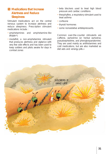#### **Medications that Increase 5 Alertness and Reduce Sleepiness**

Stimulant medications act on the central nervous system to increase alertness and reduce sleepiness. Prescription stimulant medications include :

- amphetamines and amphetamine-like (Ritalin®)
- modafinil, a non-amphetamine stimulant that produces alertness and vigilance with very few side effects and has been used to keep soldiers and pilots awake for days in combat zones
- beta blockers used to treat high blood pressure and cardiac conditions
- theophylline, a respiratory stimulant used to treat asthma
- cortisone
- thyroid hormones
- some nonsedative antidepressants.

Common over-the-counter stimulants are caffeine, ephedrine (or herbal ephedra), pseudoephedrine, and phenylpropanalomine. They are used mainly as antihistamines and cold medications, but are also marketed as diet aids and «energy pills.»

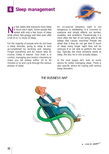## **6 Sleep management**



**No law states that everyone must sleep**<br>8 hours each night. Some people feel<br>rested with only a few hours of sleep 8 hours each night. Some people feel while others feel groggy and tired even after a full 10 or 11 hours of sleep.

For the majority of people who do not have a sleep disorder, going to sleep is best accomplished by reclining and relaxing. Forget everything and let nature take its course. Sleep is natural. Your brain is in control, managing your body's chemistry to make you fall asleep within 20 to 30 minutes or so and cycle through the various phases of sleep.

An occasional sleepless night is not dangerous or debilitating. It is common to everyone and simply reflects our worries, anxieties, and ambitions. Paradoxically, it is most often the fear of not being able to fall asleep that causes insomnia! People are afraid that if they do not get their 8 hours of sleep every single night they will be seriously ill or not able to perform the next day. Typically, the more someone wants to sleep, the less he or she actually sleeps.

In the next pages let's look at some advice for better managing sleep. There is also specific advice for coping with various sleep disorders.

#### THE BUSINESS NAP

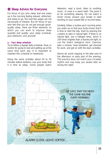#### **Sleep Advice for Everyone 1**

For those of you who sleep well and wake up in the morning feeling relaxed, refreshed, and ready to go, the next few pages are not necessarily of interest. But for those of you who feel that you do not get enough goodquality sleep, there are three elements on which you can work to improve sleep quantity and quality: your sleep schedule, your bedroom, and yourself.

#### **a – Your sleep schedule**

Try to follow a regular daily schedule, ritual, or routine for going to bed and getting up at the same time each day. It is important to maintain this schedule on weekends.

Doing the same activities about 30 to 45 minutes before bedtime cues your body that it is time to sleep. Some people watch television, read a book, listen to soothing music, or soak in a warm bath. The point is to do something relaxing. Do not watch a horror movie, answer your emails or start working on your unpaid bills or income taxes.

Similarly, follow a routine each morning when you wake up so that your body knows that it is time to start the day. Start by opening the curtains to take in natural light. If there is no natural light, use a halogen lamp, which is 100 times brighter than a fluorescent light, to cue the brain's biological clock. Exercise, take a shower, have breakfast, get dressed for work, and get on with the day's activities.

Above all, avoid napping in the later part of the afternoon or early part of the evening. This practice does not match your circadian rhythm and may keep you awake later on during the night.

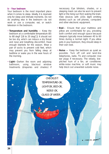#### **b – Your bedroom**

Your bedroom is the most important place when it comes to sleep. Ideally, it is reserved only for sleep and intimate moments. Do not do anything else in the bedroom—do not work or use a computer, eat, or watch television in the bedroom.

- **Temperature and humidity** Keep the bedroom at a comfortable temperature (65 to 68 degF [18 to 20 degC]). It should not be too dry, which can induce a dry throat and nose and breathing discomfort. Have enough blankets for the season. Wear a pair of socks to prevent cold feet, which may prevent you from falling sleep at bedtime or wake you in the wee hours of the morning.
- **Light**—Darken the room and adjoining bathroom, using blackout window treatments (draperies and shades) if

necessary. Eye blinders, shades, or a sleeping mask can also be worn to prevent light or the rising sun from waking the brain. Hide devices with LEDs (light emitting diodes) such as cell phones, computers and other electronic equipment.

- **Bed** Ensure that your mattress and pillow are comfortable for you, providing both comfort and enough space because sleepers typically move between 40 to 60 times during a normal night. If you allow pets in your bedroom, they should sleep in their own bed.
- **Noise** Keep the bedroom as quiet as possible. Turn off cell and land-line telephones, radio, TV, and computer. Use ear plugs if necessary. The steady, lowpitched hum of a fan, air conditioner, white-noise machine, or soft music may help block out unwanted outside noise.

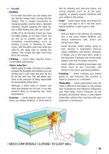#### **c – Yourself**

#### • **Bedtime**

- Go to bed only when you are sleepy and you feel the «sleep train» coming into the station. This is usually announced by drooping eyelids, blurred vision, repeated yawning, trouble keeping the head up, and a tired feeling that calls you to bed.
- If after 20 to 30 minutes in bed you have not fallen asleep, do not stay in bed. Get up and go to another room and do something nonstimulating, such as reading a book or listening to calm music, with the lights down low while you wait for the sleep train to reenter the station. This should not take more than 60 to 90 minutes.
- **Clothing**  Good sleep requires loose, comfortable bedclothes.
- **Stress reduction**
	- Before going to sleep, jot down on a piece of paper the thoughts and problems you are turning over in your mind and your «to do» list for the next day. This will relieve your mind of the pressure of being responsible for remembering these items.
	- Although a warm bath or shower can relax and prepare you for bed, it can also prevent sleep by increasing your body temperature.
- **Exercise**  Avoid intense exercise in the hours just before bedtime. A short walk is

fine for relaxing and reducing stress, but strong exertion such as at the gym, jogging, or playing squash interferes with your ability to fall asleep.

- **Food**  Avoid heavy meals and foods rich in sugar and high in fat in the few hours before bedtime. A light snack is fine.
- **Fluids**
	- Reduce fluids in the evening. By drinking less in the hours before bedtime, you reduce bathrooms calls, which can disrupt your sleep.
	- Avoid alcoholic drinks before going to bed. Alcohol in moderation reduces stress, inhibitions, and tension. However, it relaxes you in the short term, while in the long term it disrupts the normal sleep pattern and only increases insomnia.
	- Avoid caffeine-containing beverages and foods (such as tea, chocolate, soft drinks) in the hours preceding bedtime.
- **Smoking**  Avoid smoking just before going to bed because the nicotine in tobacco products is a stimulant.
- **Medication** Avoid medications that can make it difficult to fall asleep or stay asleep (see «Substances that Influence Sleepiness and Total Sleep Time»). However, do not abruptly discontinue taking a prescription medication without first checking with your physician or pharmacist.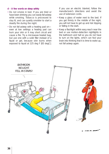#### **d – A few words on sleep safety**

- Do not smoke in bed. If you are tired or have been drinking you can easily fall asleep while smoking. Tobacco is processed to stay lit, and can quietly smolder to start a deadly fire during the night.
- Do not fall asleep with a heating pad on even at low settings a heating pad can burn your skin or it may short circuit and cause a fire. Try a microwave-heated bag, but use one with a solid filler instead of a liquid or gel, because skin burns when exposed to liquid at 125 deg F [83 degC].

If you use an electric blanket, follow the manufacturer's directions and avoid the use of extension cords.

- Keep a glass of water next to the bed. If you get thirsty in the middle of the night, you will not have to get up and risk tripping or falling in the dark.
- Keep a flashlight within easy reach near the bed or use motion-detection nightlights in the bathroom and hall so you do not have to turn on the lights, which can fool your brain into thinking that it is time to wake up, not fall asleep again.

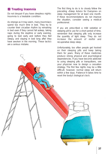#### **Treating Insomnia 2**

Do not despair if you have sleepless nights: Insomnia is a treatable condition.

As strange as it may seem, many insomniacs spend too much time in bed. They try to counter their circadian rhythm by remaining in bed even if they cannot fall asleep, taking naps during the daytime or early evening, going to bed early and before they feel sleepy, and staying in bed long after they have awoken in the morning. These tactics are a serious mistake.

The first thing to do is to closely follow the preceding «Sleep Advice for Everyone» on sleep management for at least one month. If these recommendations do not improve the situation, consider seeing a medical professional.

If you are prescribed a mild sedative or sleeping pill to use for a short period of time, remember that sleeping pills only increase the quantity of light sleep. They do not increase the amount of restful and recuperative deep sleep.

Unfortunately, too often people get hooked on their sleeping pills and keep taking them for years. Many of these medicines produce strong physical and psychological dependencies. If you have become addicted to using sleeping pills or tranquilizers, see your physician now to design a cessation strategy. The first few nights may be a little difficult; however, normal sleep will return within a few days. Patience! It takes time to reset the body's biological clock.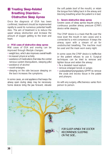#### **Treating Sleep-Related 3 Breathing Disorders— Obstructive Sleep Apnea**

Once the diagnosis of OSA has been confirmed, treatment should be implemented rapidly to avoid its numerous potential health risks. The aim of treatment is to reduce the upper airway obstruction and increase the amount of oxygen getting to the brain and heart.

#### **a – Mild cases of obstructive sleep apnea**

Mild cases of OSA and snoring can be improved through lifestyle changes:

- weight loss, which also improves overall health
- increased physical activity
- avoidance of medications that relax the central nervous system (tranquilizers, sleeping pills)
- avoidance of alcohol
- nostril enlargers
- sleeping on the side because sleeping on the back increases the symptoms.

In some cases, an oral appliance that keeps the airway open during sleep may be necessary. Some devices bring the jaw forward, elevate the soft palate (roof of the mouth), or retain the tongue from falling back in the airway and blocking breathing when the patient is in bed.

#### **b – Severe obstructive sleep apnea**

Severe cases of sleep apnea require using a continuous positive airway pressure (CPAP) device while sleeping.

The CPAP device is a mask that fits over the nose (over the mouth in rare cases) and is connected to a mini compressor. It keeps the airway open with a stream of air for unobstructed breathing. The machine must be used and the mask worn every night.

In some cases the CPAP device is ineffective or the patient refuses to use it. Surgical techniques can be tried to remove and tighten tissue and widen the airway:

- fix a deviated nasal septum
- remove enlarged tonsils or polyps
- uvulopalatopharyngoplasty (UPPP) to remove the uvula and excess tissue in the palate and pharynx.

As with any surgery, effectiveness varies from person to person.

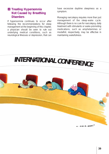#### **Treating Hypersomnia 4 Not Caused by Breathing Disorders**

If hypersomnia continues to occur after following the recommendations for sleep management at the beginning of this chapter, a physician should be seen to rule out underlying medical conditions, such as neurological illnesses or depression, that can have excessive daytime sleepiness as a symptom.

Managing narcolepsy requires more than just management of the sleep-wake cycle. Although there is no cure for narcolepsy, daily treatment with stimulants or wake-promoting medications, such as amphetamines or modafinil, respectively, may be effective in maintaining wakefulness.

# **INTERNATIONAL CONFERENCE**

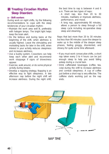#### **Treating Circadian Rhythm 5 Sleep Disorders**

#### **a – Shift workers**

During work on night shifts, try the following recommendations to cope with the sleep tendencies of your circadian rhythm:

- Maintain the work area well lit, preferably with halogen lamps. The bright light helps keep the brain alert.
- Do the tedious and boring tasks at the beginning of the shift, when alertness is usually highest. Leave the stimulating and motivating tasks for later in the shift, when interest in your activity reduces sleepiness and increases alertness.
- Use a buddy system. Coworkers can help keep each other alert and recommend work stoppage if signs of drowsiness appear.
- Exercise, walk around, or do some physical activity during breaks.
- Develop a napping strategy. Napping is an effective way to fight sleepiness. A late afternoon nap before the night shift will increase alertness. During the night shift,

the best time to nap is between 4 and 6 a.m. There are two types of naps:

- A short nap, less than 20 to 30 minutes, maintains or improves alertness, performance, and mood.
- A long nap, approximately 90 minutes, allows a person to sleep through a full sleep cycle including recuperative deep sleep and dreaming.

Naps that last more than 20 to 30 minutes but less than 90 minutes cause the sleeper to wake up in the middle of the deeper sleep phases, feeling groggy, disoriented, and drowsy for quite some time afterward.

- If you must work consecutive shifts, a short nap taken every 3 to 4 hours can be just enough sleep to help you avoid falling asleep during a crucial task.
- Drink caffeinated beverages (coffee, tea, cola) during the shift to increase alertness and combat sleepiness. A cup of coffee just before a short nap is very effective. The caffeine starts working just as the nap ends.



NAP TIME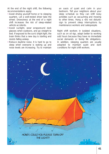At the end of the night shift, the following recommendations apply:

- Avoid driving yourself home or to sleeping quarters. Let a well-rested driver take the wheel. Drowsiness at the end of a night shift increases the risk of sleep-related vehicle accidents.
- Avoid sunlight, wear wraparound dark glasses when outdoors, and go straight to bed. If exposed to the sun's bright light, the brain thinks that a new day is starting and resists falling asleep.
- Reduce daytime noise. It is hard to go to sleep when everyone is waking up and noise levels are increasing. Try to maintain

an oasis of quiet and calm in your bedroom. Tell your neighbors about your sleep schedule so they can shift noisy activities such as vacuuming and mowing to other times. Hang a «Do not disturb» sign to prevent sleep interruptions by maintenance workers and salespeople.

Night shift workers in isolated situations, such as on oil rigs, adapt better to working odd hours because they have no immediate social demands or family life obligations. In addition, sleeping quarters are usually adapted to maintain quiet and dark conditions for night shift workers.

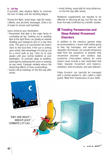#### **b – Jet lag**

If possible, take daytime flights to minimize the loss of sleep and the resulting fatigue.

During the flight, avoid large, high-fat meals, caffeine, and alcoholic beverages. Drink a lot of water to remain well hydrated.

Upon arrival at your destination:

- Remember that light is the major factor in combating jet lag. Seeking out or avoiding light at the right times can greatly accelerate resetting your biological clock in a new time zone. The goal is to synchronize the brain's clock to the local time. If the sun is shining upon arrival, take advantage of it and go out for a short walk or jog. Then try to stay awake until your normal bedtime at your destination. To promote sleep at bedtime, avoid light by darkening the room or wearing an eye mask. Earplugs similarly reduce the distracting effects of noisy surroundings.
- Avoid critical meetings on the first day after arrival.

• Avoid driving, especially for long distances, on the first day after arrival.

Melatonin supplements are reputed to be effective in reducing jet lag, but this has not been formally confirmed by scientific studies.

#### **Treating Parasomnias and 6 Sleep-Related Movement Disorders**

In addition to the previous general sleep recommendations, a warm bath before going to bed, leg massages, and exercise and relaxation techniques can provide temporary relief from the symptoms of periodic limb movement disorder and restless legs syndrome. Prescription options for more severe cases include a new medication that helps regulate movement and balance. sedatives, anticonvulsives, and pain relievers.

Sleep bruxism can typically be managed with a dental appliance, also called a night guard, fitted from impressions of your teeth.

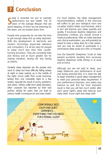# **7 Conclusion**

S leep is essential not just to maintain performance but also health. The 25 years of the average lifespan that are spent sleeping, of which we are dreaming for five years, are not wasted down time.

People who purposely do not take the time to get enough sleep end up sleep deprived. With the development of electricity and modern technology (especially television and computers), it is all too easy for people to sleep much less than their candleburning ancestors. They are constantly tired and drowsy and at much greater risk for making mistakes, dozing off, and having accidents.

Similarly sleep deprived are the people who want to sleep but have difficulty falling asleep at night or keep waking up in the middle of the night. Some suffer from acute insomnia, lasting from one miserable night to a few weeks, typically the result of worry, problems, and stress. Others suffer from sleep disorders, often unaware but reported by their bed partner, lasting for years that can lead to serious health consequences and even death.

For most readers, the sleep management recommendations outlined in this brochure will suffice to get your biological clock and circadian rhythm better synchronized, which in turn will improve your sleep quantity and quality. If excessive daytime sleepiness and drowsiness continue, you should consult a medical professional. After an initial interview and clinical examination, you will probably be asked to keep a sleep diary for a few weeks, and you may be asked to participate in a noninvasive sleep study at a clinic or hospital.

Use the Epworth Sleepiness Scale to help prevent accidents resulting from excessive daytime sleepiness while driving or at work and at home.

Although you are not paid to sleep, your sleep influences your performance at work and during personal time. It is never too late to begin investing in good sleep management to meet your personal sleep requirement. If your performance improves, your salary may improve as well. But the most important result is that you will feel much better after each good night's sleep that reduces your sleep debt. Good night and sleep well!

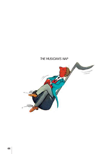#### THE MUSICIAN'S NAP

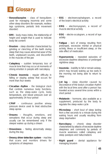# **8 Glossary**

- **Benzodiazepine** class of tranquilizers used for managing insomnia and some other sleep disorders (for example, restless legs syndrome, periodic limb movement disorder)
- **BMI** body mass index, the relationship of height and weight that is used to indicate body fat content
- **Bruxism**  sleep disorder characterized by grinding or clenching of the teeth during sleep that may cause abnormal wear of the teeth, unpleasant sounds, and discomfort in the muscles of the jaw
- **Cataplexy** sudden temporary loss of muscle tone that may occur at moments of strong emotion in people with narcolepsy
- **Chronic insomnia**  regular difficulty in falling or staying asleep that occurs for more than four weeks
- **Circadian rhythm**  the biological clock that controls numerous body functions, such as the sleep-wake cycle, body temperature, and blood pressure over an approximately 24-hour period
- **CPAP** continuous positive airway pressure device used to treat obstructive sleep apnea
- **Dreams**  thoughts, emotions, and sensations that occur during sleep and usually can be remembered only if the sleeper wakes up during a dream
- **Drowsiness**  feeling abnormally sleepy during the day
- **Drowsy driver detection system**  machine that scans and monitors drivers for symptoms of sleepiness
- **EEG**  electroencephalogram, a record of the brain's electrical activity
- **EMG** electromyogram, a record of muscle electrical activity
- **EOG** electro-oculogram, a record of eye activity
- **Fatigue** lack of energy resulting from prolonged, excessive mental or physical activity, illness or insufficient sleep, or the side effect of medication
- **Hypersomnia** repeated episodes of excessive daytime sleepiness or prolonged nighttime sleep
- **Insomnia** inability to fall or remain asleep, which may include waking up too early in the morning not being able to return to sleep
- **Jet lag**  sleep disorder caused by discordance of the body's circadian rhythm with the local time zone after a person has traveled across several time zones within a short period
- **Melatonin** hormone, also available as a supplement, produced by the body to regulate the sleep-wake cycle
- **Microsleep** short bout of sleep lasting from a few seconds to a minute during the waking hours and usually resulting from sleep deprivation
- **Narcolepsy** chronic sleep disorder characterized by attacks of excessive daytime sleepiness and commonly by periods of muscle weakness called cataplexy and sleep paralysis and hallucinations
- **Night guard** dental appliance for managing bruxism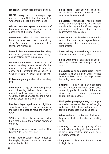- **Nightmare**  anxiety-filled, frightening dream.
- **NREM sleep**  for non-rapid eye movement (non-REM): the stages of sleep when there is no rapid eye movement.
- **Obstructive sleep apnea**  cessation of breathing during sleep due to an obstruction of the upper airway
- **Parasomnia**  sleep disorder characterized by an abnormal event that occurs during sleep (for example, sleepwalking, sleep talking, and nightmares)
- **Periodic limb movement disorder**  sleep disorder with jerking and kicking of the legs and sometimes arms during sleep
- **Pickwick syndrome**  severe form of obstructive sleep apnea named after the character Fat Joe, who was described as obese and constantly falling asleep in Charles Dickens' *Pickwick Papers (1837)*
- **Polysomnography**  sleep study or sleep test
- **REM sleep** stage of sleep during which most dreaming takes place that is characterized by rapid eye movement, voluntary muscle paralysis, and more rapid, irregular breathing and heart rate
- **Restless legs syndrome**  nighttime sensation of burning, itching, or crawling in the legs with a need to move the limbs for relief
- **SCN** suprachiasmatic nucleus cells in the brain that regulate the circadian rhythm of the body
- **Shift work** work schedules outside of the typical «9 to 5» business day
- **Sleep** periodic state of rest accompanied by varying degrees of unconsciousness and relative inactivity
- **Sleep debt** deficiency of sleep that accumulates when personal sleep requirements are not met
- **Sleepiness** or **tiredness** need for sleep or likelihood of falling asleep resulting from the circadian rhythm, insufficient sleep, or prolonged wakefulness that can be counteracted only by sleep
- **Sleep study** noninvasive procedure that records brain, muscle, and eye activity and vital signs and observes a person during a night of sleep
- **Sleep talking** or **somniloquy** utterance of speech or sounds during sleep
- **Sleep-wake cycle** alternating balance of sleep and wakefulness during a 24-hour day
- **Sleepwalking** or **somnambulism** sleep disorder in which a person walks or does certain activities while seemingly awake but during deep sleep
- **Snoring** noisy or harsh-sounding breathing through the mouth during sleep caused by partial obstruction of the upper airway, this is a primary symptom of obstructive sleep apnea
- **Uvulopalatophrayngoplasty** surgical removal of the piece of flesh (uvula) hanging in the back of the throat and other excess tissue to treat obstructive sleep apnea
- **White noise** combination of all sound frequencies that has the effect of masking noise
- **Yawning** involuntary opening of the mouth with a prolonged, deep inhalation of air, usually resulting from drowsiness, boredom, or fatigue
- **Zeitgebers** time cues for the body's biological clock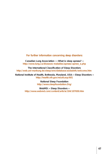**For further information concerning sleep disorders:**

**Canadian Lung Association : « What is sleep apnœa? » http://www.lung.ca/diseases-maladies/apnœa-apnee\_e.php**

**The International Classification of Sleep Disorders http://web.uni-marburg.de/sleep/enn/database/asdadefs/welcome.htm**

**National Institute of Health, Bethesda, Maryland, USA: « Sleep Disorders » http://health.nih.gov/result.asp/601**

> **National Sleep Foundation http://www.sleepfoundation.Org/**

**WebMD: « Sleep Disorders » http://www.webmd.com/content/article/104/107650.htm**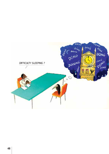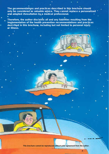**The recommendations and practices described in this brochure should only be considered as valuable advice. They cannot replace a personalized and adapted consultation by a medical professional.**

**Therefore, the author disclaims all and any liabilities resulting from the implementation of the health prevention recommendations and practices described in this brochure, including but not limited to personal injury or illness.**

*This brochure cannot be reproduced without prior agreement from the author.*